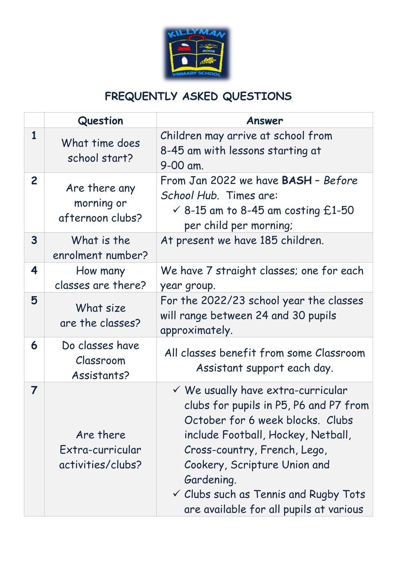

## **FREQUENTLY ASKED QUESTIONS**

|                         | Question                                           | Answer                                                                                                                                                                                                                                                                                                                                         |
|-------------------------|----------------------------------------------------|------------------------------------------------------------------------------------------------------------------------------------------------------------------------------------------------------------------------------------------------------------------------------------------------------------------------------------------------|
| $\mathbf{1}$            | What time does<br>school start?                    | Children may arrive at school from<br>8-45 am with lessons starting at<br>9-00 am.                                                                                                                                                                                                                                                             |
| $\overline{2}$          | Are there any<br>morning or<br>afternoon clubs?    | From Jan 2022 we have BASH - Before<br>School Hub. Times are:<br>$\checkmark$ 8-15 am to 8-45 am costing £1-50<br>per child per morning;                                                                                                                                                                                                       |
| $\overline{\mathbf{3}}$ | What is the<br>enrolment number?                   | At present we have 185 children.                                                                                                                                                                                                                                                                                                               |
| 4                       | How many<br>classes are there?                     | We have 7 straight classes; one for each<br>year group.                                                                                                                                                                                                                                                                                        |
| 5                       | What size<br>are the classes?                      | For the 2022/23 school year the classes<br>will range between 24 and 30 pupils<br>approximately.                                                                                                                                                                                                                                               |
| 6                       | Do classes have<br>Classroom<br>Assistants?        | All classes benefit from some Classroom<br>Assistant support each day.                                                                                                                                                                                                                                                                         |
| 7                       | Are there<br>Extra-curricular<br>activities/clubs? | $\checkmark$ We usually have extra-curricular<br>clubs for pupils in P5, P6 and P7 from<br>October for 6 week blocks. Clubs<br>include Football, Hockey, Netball,<br>Cross-country, French, Lego,<br>Cookery, Scripture Union and<br>Gardening.<br>$\checkmark$ Clubs such as Tennis and Rugby Tots<br>are available for all pupils at various |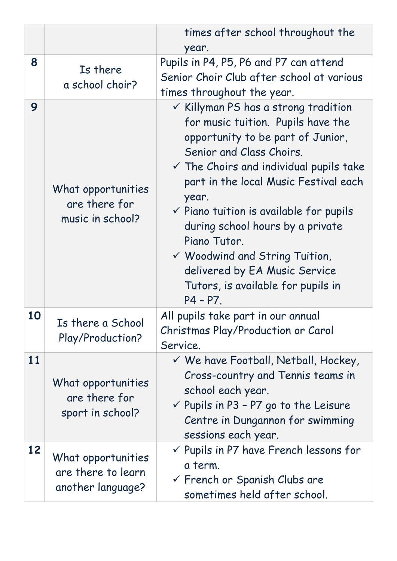|    |                                                               | times after school throughout the                                                                                                                                                                                                                                                                                                                                                                                                                                                                           |
|----|---------------------------------------------------------------|-------------------------------------------------------------------------------------------------------------------------------------------------------------------------------------------------------------------------------------------------------------------------------------------------------------------------------------------------------------------------------------------------------------------------------------------------------------------------------------------------------------|
|    |                                                               | year.                                                                                                                                                                                                                                                                                                                                                                                                                                                                                                       |
| 8  | Is there<br>a school choir?                                   | Pupils in P4, P5, P6 and P7 can attend<br>Senior Choir Club after school at various<br>times throughout the year.                                                                                                                                                                                                                                                                                                                                                                                           |
| 9  | What opportunities<br>are there for<br>music in school?       | $\checkmark$ Killyman PS has a strong tradition<br>for music tuition. Pupils have the<br>opportunity to be part of Junior,<br>Senior and Class Choirs.<br>$\checkmark$ The Choirs and individual pupils take<br>part in the local Music Festival each<br>year.<br>$\checkmark$ Piano tuition is available for pupils<br>during school hours by a private<br>Piano Tutor.<br>$\checkmark$ Woodwind and String Tuition,<br>delivered by EA Music Service<br>Tutors, is available for pupils in<br>$P4 - P7$ . |
| 10 | Is there a School<br>Play/Production?                         | All pupils take part in our annual<br>Christmas Play/Production or Carol<br>Service.                                                                                                                                                                                                                                                                                                                                                                                                                        |
| 11 | What opportunities<br>are there for<br>sport in school?       | $\checkmark$ We have Football, Netball, Hockey,<br>Cross-country and Tennis teams in<br>school each year.<br>$\checkmark$ Pupils in P3 - P7 go to the Leisure<br>Centre in Dungannon for swimming<br>sessions each year.                                                                                                                                                                                                                                                                                    |
| 12 | What opportunities<br>are there to learn<br>another language? | $\checkmark$ Pupils in P7 have French lessons for<br>a term.<br>$\checkmark$ French or Spanish Clubs are<br>sometimes held after school.                                                                                                                                                                                                                                                                                                                                                                    |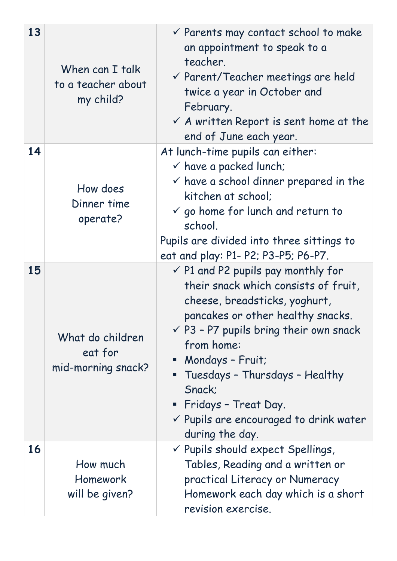| 13 | When can I talk<br>to a teacher about<br>my child? | $\checkmark$ Parents may contact school to make<br>an appointment to speak to a<br>teacher.<br>$\checkmark$ Parent/Teacher meetings are held<br>twice a year in October and<br>February.<br>$\checkmark$ A written Report is sent home at the<br>end of June each year.                                                                                                                            |
|----|----------------------------------------------------|----------------------------------------------------------------------------------------------------------------------------------------------------------------------------------------------------------------------------------------------------------------------------------------------------------------------------------------------------------------------------------------------------|
| 14 | How does<br>Dinner time<br>operate?                | At lunch-time pupils can either:<br>$\checkmark$ have a packed lunch;<br>$\checkmark$ have a school dinner prepared in the<br>kitchen at school:<br>$\checkmark$ go home for lunch and return to<br>school.<br>Pupils are divided into three sittings to<br>eat and play: P1- P2; P3-P5; P6-P7.                                                                                                    |
| 15 | What do children<br>eat for<br>mid-morning snack?  | $\checkmark$ P1 and P2 pupils pay monthly for<br>their snack which consists of fruit,<br>cheese, breadsticks, yoghurt,<br>pancakes or other healthy snacks.<br>$\checkmark$ P3 - P7 pupils bring their own snack<br>from home:<br>• Mondays - Fruit;<br>Tuesdays - Thursdays - Healthy<br>Snack:<br>• Fridays - Treat Day.<br>$\checkmark$ Pupils are encouraged to drink water<br>during the day. |
| 16 | How much<br>Homework<br>will be given?             | V Pupils should expect Spellings,<br>Tables, Reading and a written or<br>practical Literacy or Numeracy<br>Homework each day which is a short<br>revision exercise.                                                                                                                                                                                                                                |